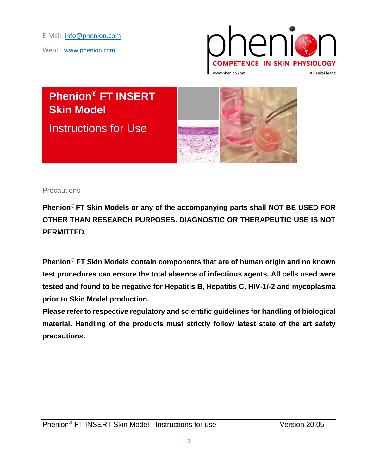E-Mail: [info@phenion.com](mailto:info@phenion.com)

Web: [www.phenion.com](http://www.phenion.com/)



**Phenion® FT INSERT Skin Model** Instructions for Use



#### **Precautions**

 $\overline{\phantom{a}}$ 

**Phenion® FT Skin Models or any of the accompanying parts shall NOT BE USED FOR OTHER THAN RESEARCH PURPOSES. DIAGNOSTIC OR THERAPEUTIC USE IS NOT PERMITTED.** 

**Phenion® FT Skin Models contain components that are of human origin and no known test procedures can ensure the total absence of infectious agents. All cells used were tested and found to be negative for Hepatitis B, Hepatitis C, HIV-1/-2 and mycoplasma prior to Skin Model production.** 

**Please refer to respective regulatory and scientific guidelines for handling of biological material. Handling of the products must strictly follow latest state of the art safety precautions.**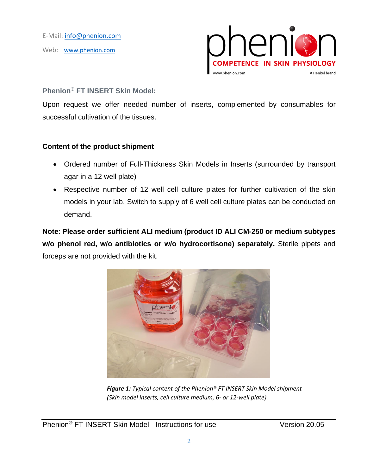E-Mail: [info@phenion.com](mailto:info@phenion.com) Web: [www.phenion.com](http://www.phenion.com/)



## **Phenion® FT INSERT Skin Model:**

Upon request we offer needed number of inserts, complemented by consumables for successful cultivation of the tissues.

# **Content of the product shipment**

- Ordered number of Full-Thickness Skin Models in Inserts (surrounded by transport agar in a 12 well plate)
- Respective number of 12 well cell culture plates for further cultivation of the skin models in your lab. Switch to supply of 6 well cell culture plates can be conducted on demand.

**Note**: **Please order sufficient ALI medium (product ID ALI CM-250 or medium subtypes w/o phenol red, w/o antibiotics or w/o hydrocortisone) separately.** Sterile pipets and forceps are not provided with the kit.



*Figure 1: Typical content of the Phenion® FT INSERT Skin Model shipment (Skin model inserts, cell culture medium, 6- or 12-well plate).*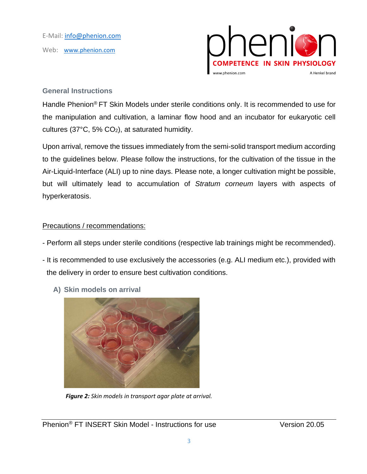E-Mail: [info@phenion.com](mailto:info@phenion.com) Web: [www.phenion.com](http://www.phenion.com/)



### **General Instructions**

Handle Phenion<sup>®</sup> FT Skin Models under sterile conditions only. It is recommended to use for the manipulation and cultivation, a laminar flow hood and an incubator for eukaryotic cell cultures (37°C, 5% CO2), at saturated humidity.

Upon arrival, remove the tissues immediately from the semi-solid transport medium according to the guidelines below. Please follow the instructions, for the cultivation of the tissue in the Air-Liquid-Interface (ALI) up to nine days. Please note, a longer cultivation might be possible, but will ultimately lead to accumulation of *Stratum corneum* layers with aspects of hyperkeratosis.

## Precautions / recommendations:

- Perform all steps under sterile conditions (respective lab trainings might be recommended).
- It is recommended to use exclusively the accessories (e.g. ALI medium etc.), provided with the delivery in order to ensure best cultivation conditions.



**A) Skin models on arrival**

*Figure 2: Skin models in transport agar plate at arrival.*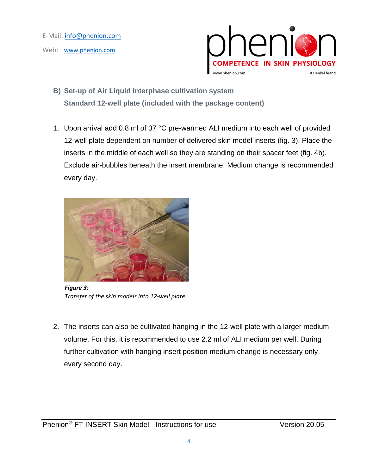E-Mail: [info@phenion.com](mailto:info@phenion.com)

Web: [www.phenion.com](http://www.phenion.com/)



- **B) Set-up of Air Liquid Interphase cultivation system Standard 12-well plate (included with the package content)**
- 1. Upon arrival add 0.8 ml of 37 °C pre-warmed ALI medium into each well of provided 12-well plate dependent on number of delivered skin model inserts (fig. 3). Place the inserts in the middle of each well so they are standing on their spacer feet (fig. 4b). Exclude air-bubbles beneath the insert membrane. Medium change is recommended every day.



*Figure 3: Transfer of the skin models into 12-well plate.*

2. The inserts can also be cultivated hanging in the 12-well plate with a larger medium volume. For this, it is recommended to use 2.2 ml of ALI medium per well. During further cultivation with hanging insert position medium change is necessary only every second day.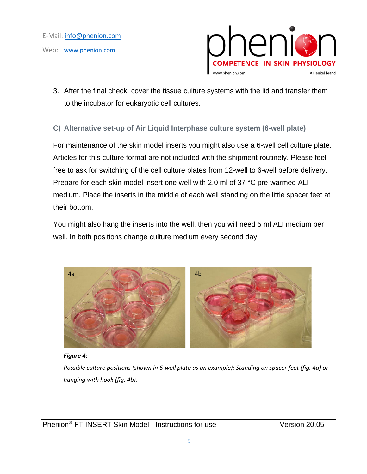Web: [www.phenion.com](http://www.phenion.com/)



- 3. After the final check, cover the tissue culture systems with the lid and transfer them to the incubator for eukaryotic cell cultures.
- **C) Alternative set-up of Air Liquid Interphase culture system (6-well plate)**

For maintenance of the skin model inserts you might also use a 6-well cell culture plate. Articles for this culture format are not included with the shipment routinely. Please feel free to ask for switching of the cell culture plates from 12-well to 6-well before delivery. Prepare for each skin model insert one well with 2.0 ml of 37 °C pre-warmed ALI medium. Place the inserts in the middle of each well standing on the little spacer feet at their bottom.

You might also hang the inserts into the well, then you will need 5 ml ALI medium per well. In both positions change culture medium every second day.



*Figure 4:*

*Possible culture positions (shown in 6-well plate as an example): Standing on spacer feet (fig. 4a) or hanging with hook (fig. 4b).*